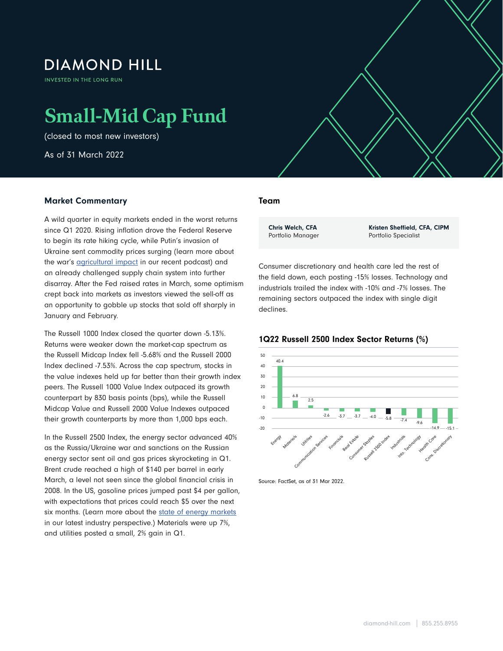# **DIAMOND HILL**

INVESTED IN THE LONG RUN

# **Small-Mid Cap Fund**

(closed to most new investors)

As of 31 March 2022

# Market Commentary

A wild quarter in equity markets ended in the worst returns since Q1 2020. Rising inflation drove the Federal Reserve to begin its rate hiking cycle, while Putin's invasion of Ukraine sent commodity prices surging (learn more about the war's **agricultural impact** in our recent podcast) and an already challenged supply chain system into further disarray. After the Fed raised rates in March, some optimism crept back into markets as investors viewed the sell-off as an opportunity to gobble up stocks that sold off sharply in January and February.

The Russell 1000 Index closed the quarter down -5.13%. Returns were weaker down the market-cap spectrum as the Russell Midcap Index fell -5.68% and the Russell 2000 Index declined -7.53%. Across the cap spectrum, stocks in the value indexes held up far better than their growth index peers. The Russell 1000 Value Index outpaced its growth counterpart by 830 basis points (bps), while the Russell Midcap Value and Russell 2000 Value Indexes outpaced their growth counterparts by more than 1,000 bps each.

In the Russell 2500 Index, the energy sector advanced 40% as the Russia/Ukraine war and sanctions on the Russian energy sector sent oil and gas prices skyrocketing in Q1. Brent crude reached a high of \$140 per barrel in early March, a level not seen since the global financial crisis in 2008. In the US, gasoline prices jumped past \$4 per gallon, with expectations that prices could reach \$5 over the next six months. (Learn more about the [state of energy markets](https://www.diamond-hill.com/insights/a-400/geopolitics-the-state-of-energy-markets-today.fs) in our latest industry perspective.) Materials were up 7%, and utilities posted a small, 2% gain in Q1.

# Team

 $\mathcal{S}_{\mathcal{A}}$  , and  $\mathcal{A}_{\mathcal{A}}$  as of 31 March 2022  $\mathcal{A}_{\mathcal{A}}$ 

Chris Welch, CFA Portfolio Manager Kristen Sheffield, CFA, CIPM Portfolio Specialist

Consumer discretionary and health care led the rest of the field down, each posting -15% losses. Technology and industrials trailed the index with -10% and -7% losses. The remaining sectors outpaced the index with single digit declines.





Source: FactSet, as of 31 Mar 2022.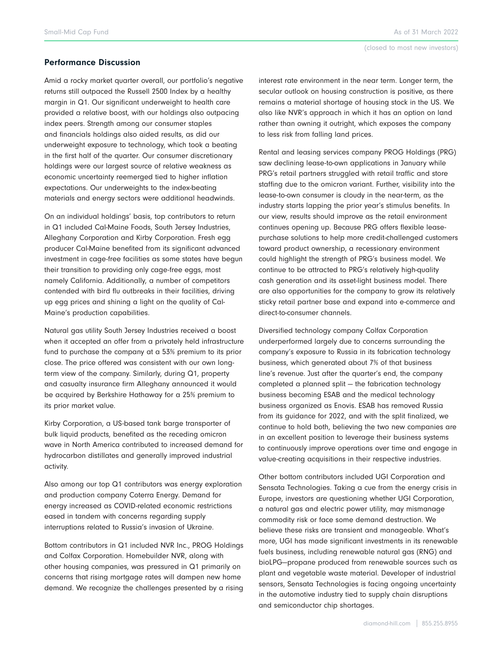#### Performance Discussion

Amid a rocky market quarter overall, our portfolio's negative returns still outpaced the Russell 2500 Index by a healthy margin in Q1. Our significant underweight to health care provided a relative boost, with our holdings also outpacing index peers. Strength among our consumer staples and financials holdings also aided results, as did our underweight exposure to technology, which took a beating in the first half of the quarter. Our consumer discretionary holdings were our largest source of relative weakness as economic uncertainty reemerged tied to higher inflation expectations. Our underweights to the index-beating materials and energy sectors were additional headwinds.

On an individual holdings' basis, top contributors to return in Q1 included Cal-Maine Foods, South Jersey Industries, Alleghany Corporation and Kirby Corporation. Fresh egg producer Cal-Maine benefited from its significant advanced investment in cage-free facilities as some states have begun their transition to providing only cage-free eggs, most namely California. Additionally, a number of competitors contended with bird flu outbreaks in their facilities, driving up egg prices and shining a light on the quality of Cal-Maine's production capabilities.

Natural gas utility South Jersey Industries received a boost when it accepted an offer from a privately held infrastructure fund to purchase the company at a 53% premium to its prior close. The price offered was consistent with our own longterm view of the company. Similarly, during Q1, property and casualty insurance firm Alleghany announced it would be acquired by Berkshire Hathaway for a 25% premium to its prior market value.

Kirby Corporation, a US-based tank barge transporter of bulk liquid products, benefited as the receding omicron wave in North America contributed to increased demand for hydrocarbon distillates and generally improved industrial activity.

Also among our top Q1 contributors was energy exploration and production company Coterra Energy. Demand for energy increased as COVID-related economic restrictions eased in tandem with concerns regarding supply interruptions related to Russia's invasion of Ukraine.

Bottom contributors in Q1 included NVR Inc., PROG Holdings and Colfax Corporation. Homebuilder NVR, along with other housing companies, was pressured in Q1 primarily on concerns that rising mortgage rates will dampen new home demand. We recognize the challenges presented by a rising

interest rate environment in the near term. Longer term, the secular outlook on housing construction is positive, as there remains a material shortage of housing stock in the US. We also like NVR's approach in which it has an option on land rather than owning it outright, which exposes the company to less risk from falling land prices.

Rental and leasing services company PROG Holdings (PRG) saw declining lease-to-own applications in January while PRG's retail partners struggled with retail traffic and store staffing due to the omicron variant. Further, visibility into the lease-to-own consumer is cloudy in the near-term, as the industry starts lapping the prior year's stimulus benefits. In our view, results should improve as the retail environment continues opening up. Because PRG offers flexible leasepurchase solutions to help more credit-challenged customers toward product ownership, a recessionary environment could highlight the strength of PRG's business model. We continue to be attracted to PRG's relatively high-quality cash generation and its asset-light business model. There are also opportunities for the company to grow its relatively sticky retail partner base and expand into e-commerce and direct-to-consumer channels.

Diversified technology company Colfax Corporation underperformed largely due to concerns surrounding the company's exposure to Russia in its fabrication technology business, which generated about 7% of that business line's revenue. Just after the quarter's end, the company completed a planned split — the fabrication technology business becoming ESAB and the medical technology business organized as Enovis. ESAB has removed Russia from its guidance for 2022, and with the split finalized, we continue to hold both, believing the two new companies are in an excellent position to leverage their business systems to continuously improve operations over time and engage in value-creating acquisitions in their respective industries.

Other bottom contributors included UGI Corporation and Sensata Technologies. Taking a cue from the energy crisis in Europe, investors are questioning whether UGI Corporation, a natural gas and electric power utility, may mismanage commodity risk or face some demand destruction. We believe these risks are transient and manageable. What's more, UGI has made significant investments in its renewable fuels business, including renewable natural gas (RNG) and bioLPG—propane produced from renewable sources such as plant and vegetable waste material. Developer of industrial sensors, Sensata Technologies is facing ongoing uncertainty in the automotive industry tied to supply chain disruptions and semiconductor chip shortages.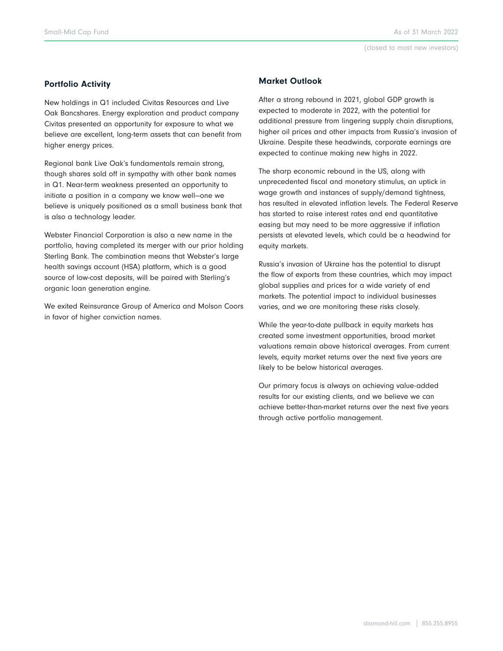# Portfolio Activity

New holdings in Q1 included Civitas Resources and Live Oak Bancshares. Energy exploration and product company Civitas presented an opportunity for exposure to what we believe are excellent, long-term assets that can benefit from higher energy prices.

Regional bank Live Oak's fundamentals remain strong, though shares sold off in sympathy with other bank names in Q1. Near-term weakness presented an opportunity to initiate a position in a company we know well—one we believe is uniquely positioned as a small business bank that is also a technology leader.

Webster Financial Corporation is also a new name in the portfolio, having completed its merger with our prior holding Sterling Bank. The combination means that Webster's large health savings account (HSA) platform, which is a good source of low-cost deposits, will be paired with Sterling's organic loan generation engine.

We exited Reinsurance Group of America and Molson Coors in favor of higher conviction names.

# Market Outlook

After a strong rebound in 2021, global GDP growth is expected to moderate in 2022, with the potential for additional pressure from lingering supply chain disruptions, higher oil prices and other impacts from Russia's invasion of Ukraine. Despite these headwinds, corporate earnings are expected to continue making new highs in 2022.

The sharp economic rebound in the US, along with unprecedented fiscal and monetary stimulus, an uptick in wage growth and instances of supply/demand tightness, has resulted in elevated inflation levels. The Federal Reserve has started to raise interest rates and end quantitative easing but may need to be more aggressive if inflation persists at elevated levels, which could be a headwind for equity markets.

Russia's invasion of Ukraine has the potential to disrupt the flow of exports from these countries, which may impact global supplies and prices for a wide variety of end markets. The potential impact to individual businesses varies, and we are monitoring these risks closely.

While the year-to-date pullback in equity markets has created some investment opportunities, broad market valuations remain above historical averages. From current levels, equity market returns over the next five years are likely to be below historical averages.

Our primary focus is always on achieving value-added results for our existing clients, and we believe we can achieve better-than-market returns over the next five years through active portfolio management.